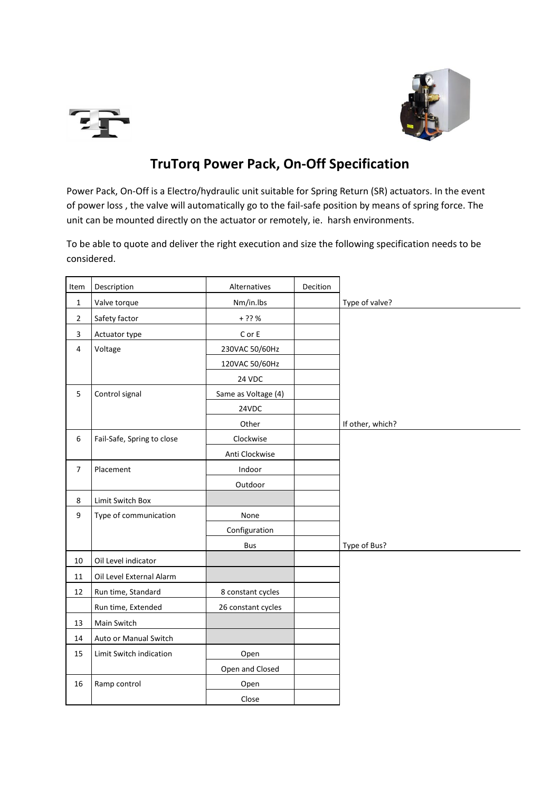



## **TruTorq Power Pack, On-Off Specification**

Power Pack, On-Off is a Electro/hydraulic unit suitable for Spring Return (SR) actuators. In the event of power loss , the valve will automatically go to the fail-safe position by means of spring force. The unit can be mounted directly on the actuator or remotely, ie. harsh environments.

To be able to quote and deliver the right execution and size the following specification needs to be considered.

| Item                    | Description                | Alternatives        | Decition |                  |
|-------------------------|----------------------------|---------------------|----------|------------------|
| $\mathbf 1$             | Valve torque               | Nm/in.lbs           |          | Type of valve?   |
| $\overline{2}$          | Safety factor              | $+ ? ? %$           |          |                  |
| $\overline{\mathbf{3}}$ | Actuator type              | C or E              |          |                  |
| $\overline{4}$          | Voltage                    | 230VAC 50/60Hz      |          |                  |
|                         |                            | 120VAC 50/60Hz      |          |                  |
|                         |                            | 24 VDC              |          |                  |
| 5                       | Control signal             | Same as Voltage (4) |          |                  |
|                         |                            | 24VDC               |          |                  |
|                         |                            | Other               |          | If other, which? |
| 6                       | Fail-Safe, Spring to close | Clockwise           |          |                  |
|                         |                            | Anti Clockwise      |          |                  |
| $\overline{7}$          | Placement                  | Indoor              |          |                  |
|                         |                            | Outdoor             |          |                  |
| 8                       | Limit Switch Box           |                     |          |                  |
| 9                       | Type of communication      | None                |          |                  |
|                         |                            | Configuration       |          |                  |
|                         |                            | <b>Bus</b>          |          | Type of Bus?     |
| 10                      | Oil Level indicator        |                     |          |                  |
| 11                      | Oil Level External Alarm   |                     |          |                  |
| 12                      | Run time, Standard         | 8 constant cycles   |          |                  |
|                         | Run time, Extended         | 26 constant cycles  |          |                  |
| 13                      | Main Switch                |                     |          |                  |
| 14                      | Auto or Manual Switch      |                     |          |                  |
| 15                      | Limit Switch indication    | Open                |          |                  |
|                         |                            | Open and Closed     |          |                  |
| 16                      | Ramp control               | Open                |          |                  |
|                         |                            | Close               |          |                  |